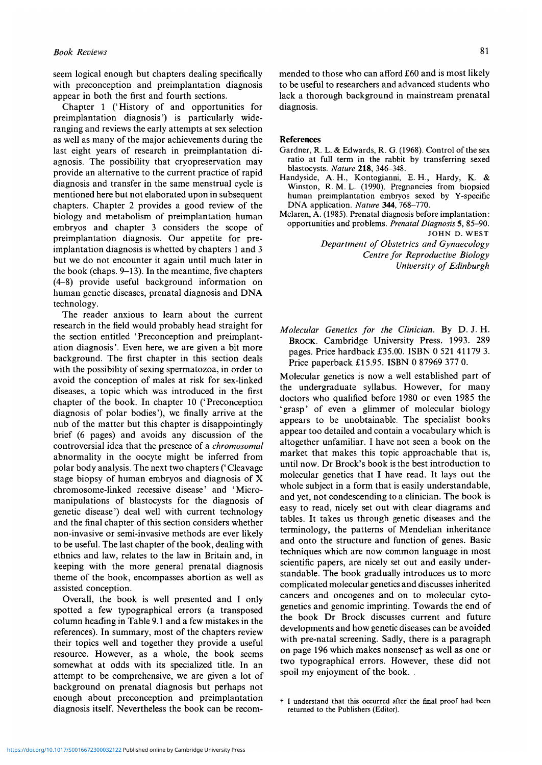seem logical enough but chapters dealing specifically with preconception and preimplantation diagnosis appear in both the first and fourth sections.

Chapter 1 ('History of and opportunities for preimplantation diagnosis') is particularly wideranging and reviews the early attempts at sex selection as well as many of the major achievements during the last eight years of research in preimplantation diagnosis. The possibility that cryopreservation may provide an alternative to the current practice of rapid diagnosis and transfer in the same menstrual cycle is mentioned here but not elaborated upon in subsequent chapters. Chapter 2 provides a good review of the biology and metabolism of preimplantation human embryos and chapter 3 considers the scope of preimplantation diagnosis. Our appetite for preimplantation diagnosis is whetted by chapters 1 and 3 but we do not encounter it again until much later in the book (chaps. 9-13). In the meantime, five chapters (4-8) provide useful background information on human genetic diseases, prenatal diagnosis and DNA technology.

The reader anxious to learn about the current research in the field would probably head straight for the section entitled 'Preconception and preimplantation diagnosis'. Even here, we are given a bit more background. The first chapter in this section deals with the possibility of sexing spermatozoa, in order to avoid the conception of males at risk for sex-linked diseases, a topic which was introduced in the first chapter of the book. In chapter 10 ('Preconception diagnosis of polar bodies'), we finally arrive at the nub of the matter but this chapter is disappointingly brief (6 pages) and avoids any discussion of the controversial idea that the presence of a *chromosomal* abnormality in the oocyte might be inferred from polar body analysis. The next two chapters (' Cleavage stage biopsy of human embryos and diagnosis of X chromosome-linked recessive disease' and 'Micromanipulations of blastocysts for the diagnosis of genetic disease') deal well with current technology and the final chapter of this section considers whether non-invasive or semi-invasive methods are ever likely to be useful. The last chapter of the book, dealing with ethnics and law, relates to the law in Britain and, in keeping with the more general prenatal diagnosis theme of the book, encompasses abortion as well as assisted conception.

Overall, the book is well presented and I only spotted a few typographical errors (a transposed column heading in Table 9.1 and a few mistakes in the references). In summary, most of the chapters review their topics well and together they provide a useful resource. However, as a whole, the book seems somewhat at odds with its specialized title. In an attempt to be comprehensive, we are given a lot of background on prenatal diagnosis but perhaps not enough about preconception and preimplantation diagnosis itself. Nevertheless the book can be recom-

mended to those who can afford £60 and is most likely to be useful to researchers and advanced students who lack a thorough background in mainstream prenatal diagnosis.

## **References**

- Gardner, R. L. & Edwards, R. G. (1968). Control of the sex ratio at full term in the rabbit by transferring sexed blastocysts. *Nature* **218,** 346-348.
- Handyside, A. H., Kontogianni, E. H., Hardy, K. & Winston, R. M. L. (1990). Pregnancies from biopsied human preimplantation embryos sexed by Y-specific DNA application. *Nature* **344,** 768-770.
- Mclaren, A. (1985). Prenatal diagnosis before implantation: opportunities and problems. *Prenatal Diagnosis* 5, 85-90. JOHN D. WEST

*Department of Obstetrics and Gynaecology Centre for Reproductive Biology University of Edinburgh*

*Molecular Genetics for the Clinician.* By D. J. H. BROCK. Cambridge University Press. 1993. 289 pages. Price hardback £35.00. ISBN 0 521 41179 3. Price paperback £15.95. ISBN 0 87969 377 0.

Molecular genetics is now a well established part of the undergraduate syllabus. However, for many doctors who qualified before 1980 or even 1985 the 'grasp' of even a glimmer of molecular biology appears to be unobtainable. The specialist books appear too detailed and contain a vocabulary which is altogether unfamiliar. I have not seen a book on the market that makes this topic approachable that is, until now. Dr Brock's book is the best introduction to molecular genetics that I have read. It lays out the whole subject in a form that is easily understandable, and yet, not condescending to a clinician. The book is easy to read, nicely set out with clear diagrams and tables. It takes us through genetic diseases and the terminology, the patterns of Mendelian inheritance and onto the structure and function of genes. Basic techniques which are now common language in most scientific papers, are nicely set out and easily understandable. The book gradually introduces us to more complicated molecular genetics and discusses inherited cancers and oncogenes and on to molecular cytogenetics and genomic imprinting. Towards the end of the book Dr Brock discusses current and future developments and how genetic diseases can be avoided with pre-natal screening. Sadly, there is a paragraph on page 196 which makes nonsensef as well as one or two typographical errors. However, these did not spoil my enjoyment of the book. .

f I understand that this occurred after the final proof had been returned to the Publishers (Editor).